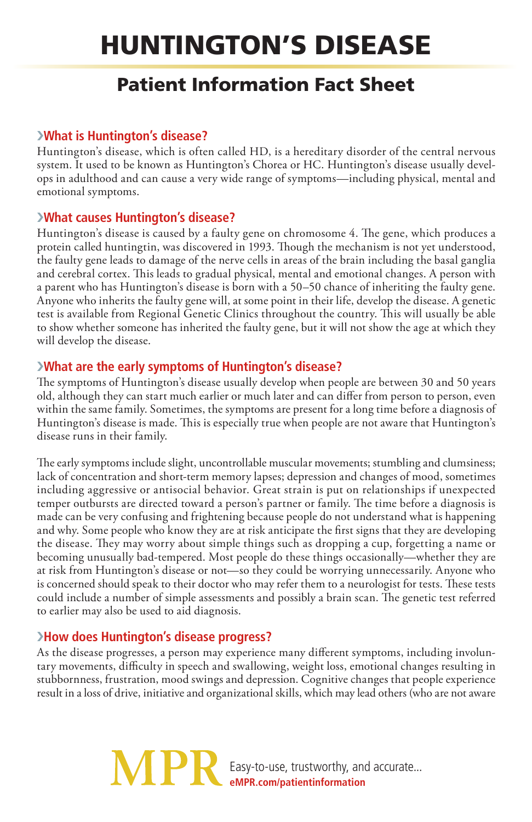# Huntington's Disease

# Patient Information Fact Sheet

#### ›**What is Huntington's disease?**

Huntington's disease, which is often called HD, is a hereditary disorder of the central nervous system. It used to be known as Huntington's Chorea or HC. Huntington's disease usually develops in adulthood and can cause a very wide range of symptoms—including physical, mental and emotional symptoms.

## ›**What causes Huntington's disease?**

Huntington's disease is caused by a faulty gene on chromosome 4. The gene, which produces a protein called huntingtin, was discovered in 1993. Though the mechanism is not yet understood, the faulty gene leads to damage of the nerve cells in areas of the brain including the basal ganglia and cerebral cortex. This leads to gradual physical, mental and emotional changes. A person with a parent who has Huntington's disease is born with a 50–50 chance of inheriting the faulty gene. Anyone who inherits the faulty gene will, at some point in their life, develop the disease. A genetic test is available from Regional Genetic Clinics throughout the country. This will usually be able to show whether someone has inherited the faulty gene, but it will not show the age at which they will develop the disease.

## ›**What are the early symptoms of Huntington's disease?**

The symptoms of Huntington's disease usually develop when people are between 30 and 50 years old, although they can start much earlier or much later and can differ from person to person, even within the same family. Sometimes, the symptoms are present for a long time before a diagnosis of Huntington's disease is made. This is especially true when people are not aware that Huntington's disease runs in their family.

The early symptoms include slight, uncontrollable muscular movements; stumbling and clumsiness; lack of concentration and short-term memory lapses; depression and changes of mood, sometimes including aggressive or antisocial behavior. Great strain is put on relationships if unexpected temper outbursts are directed toward a person's partner or family. The time before a diagnosis is made can be very confusing and frightening because people do not understand what is happening and why. Some people who know they are at risk anticipate the first signs that they are developing the disease. They may worry about simple things such as dropping a cup, forgetting a name or becoming unusually bad-tempered. Most people do these things occasionally—whether they are at risk from Huntington's disease or not—so they could be worrying unnecessarily. Anyone who is concerned should speak to their doctor who may refer them to a neurologist for tests. These tests could include a number of simple assessments and possibly a brain scan. The genetic test referred to earlier may also be used to aid diagnosis.

#### ›**How does Huntington's disease progress?**

As the disease progresses, a person may experience many different symptoms, including involuntary movements, difficulty in speech and swallowing, weight loss, emotional changes resulting in stubbornness, frustration, mood swings and depression. Cognitive changes that people experience result in a loss of drive, initiative and organizational skills, which may lead others (who are not aware

> **MPI** Easy-to-use, trustworthy, and accurate... **eMPR.com/patientinformation**